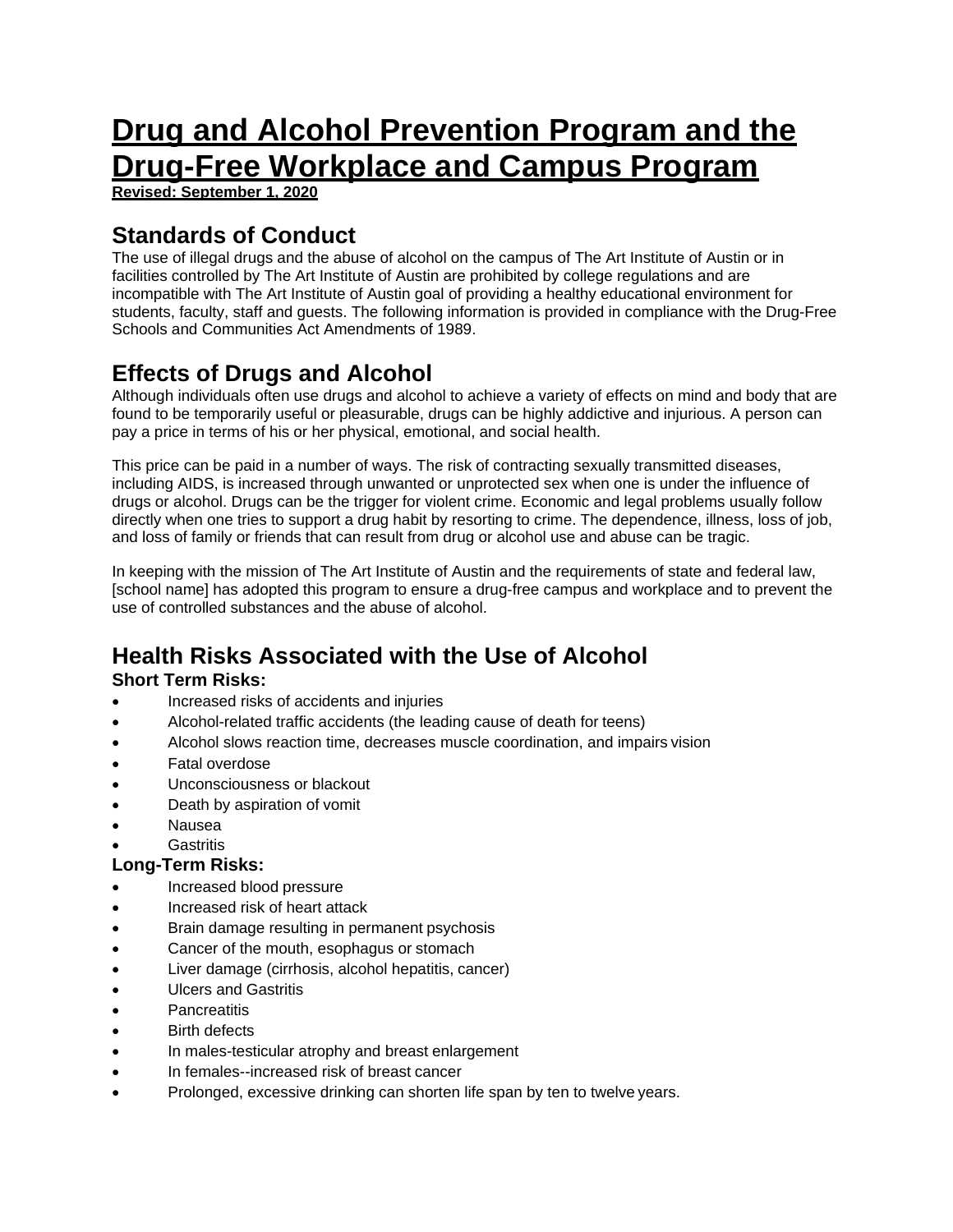# **Drug and Alcohol Prevention Program and the Drug-Free Workplace and Campus Program**

**Revised: September 1, 2020** 

# **Standards of Conduct**

The use of illegal drugs and the abuse of alcohol on the campus of The Art Institute of Austin or in facilities controlled by The Art Institute of Austin are prohibited by college regulations and are incompatible with The Art Institute of Austin goal of providing a healthy educational environment for students, faculty, staff and guests. The following information is provided in compliance with the Drug-Free Schools and Communities Act Amendments of 1989.

# **Effects of Drugs and Alcohol**

Although individuals often use drugs and alcohol to achieve a variety of effects on mind and body that are found to be temporarily useful or pleasurable, drugs can be highly addictive and injurious. A person can pay a price in terms of his or her physical, emotional, and social health.

This price can be paid in a number of ways. The risk of contracting sexually transmitted diseases, including AIDS, is increased through unwanted or unprotected sex when one is under the influence of drugs or alcohol. Drugs can be the trigger for violent crime. Economic and legal problems usually follow directly when one tries to support a drug habit by resorting to crime. The dependence, illness, loss of job, and loss of family or friends that can result from drug or alcohol use and abuse can be tragic.

In keeping with the mission of The Art Institute of Austin and the requirements of state and federal law, [school name] has adopted this program to ensure a drug-free campus and workplace and to prevent the use of controlled substances and the abuse of alcohol.

# **Health Risks Associated with the Use of Alcohol**

#### **Short Term Risks:**

- Increased risks of accidents and injuries
- Alcohol-related traffic accidents (the leading cause of death for teens)
- Alcohol slows reaction time, decreases muscle coordination, and impairs vision
- Fatal overdose
- Unconsciousness or blackout
- Death by aspiration of vomit
- Nausea
- **Gastritis**

#### **Long-Term Risks:**

- Increased blood pressure
- Increased risk of heart attack
- Brain damage resulting in permanent psychosis
- Cancer of the mouth, esophagus or stomach
- Liver damage (cirrhosis, alcohol hepatitis, cancer)
- Ulcers and Gastritis
- **Pancreatitis**
- Birth defects
- In males-testicular atrophy and breast enlargement
- In females--increased risk of breast cancer
- Prolonged, excessive drinking can shorten life span by ten to twelve years.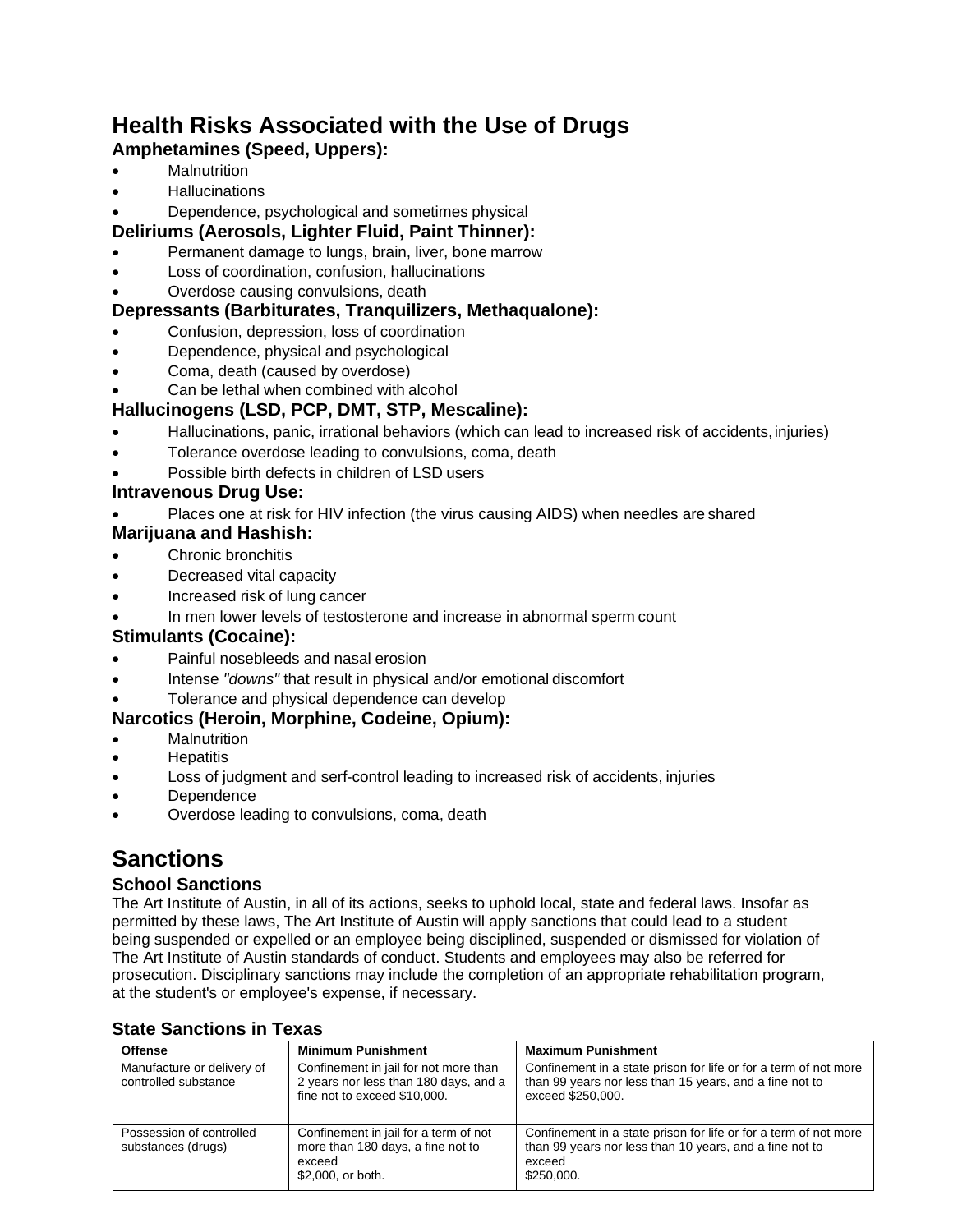# **Health Risks Associated with the Use of Drugs**

## **Amphetamines (Speed, Uppers):**

- **Malnutrition**
- **•** Hallucinations
- Dependence, psychological and sometimes physical

## **Deliriums (Aerosols, Lighter Fluid, Paint Thinner):**

- Permanent damage to lungs, brain, liver, bone marrow
- Loss of coordination, confusion, hallucinations
- Overdose causing convulsions, death

## **Depressants (Barbiturates, Tranquilizers, Methaqualone):**

- Confusion, depression, loss of coordination
- Dependence, physical and psychological
- Coma, death (caused by overdose)
- Can be lethal when combined with alcohol

## **Hallucinogens (LSD, PCP, DMT, STP, Mescaline):**

- Hallucinations, panic, irrational behaviors (which can lead to increased risk of accidents, injuries)
- Tolerance overdose leading to convulsions, coma, death
- Possible birth defects in children of LSD users

## **Intravenous Drug Use:**

- Places one at risk for HIV infection (the virus causing AIDS) when needles are shared
- **Marijuana and Hashish:**
- Chronic bronchitis
- Decreased vital capacity
- Increased risk of lung cancer
- In men lower levels of testosterone and increase in abnormal sperm count

## **Stimulants (Cocaine):**

- Painful nosebleeds and nasal erosion
- Intense *"downs"* that result in physical and/or emotional discomfort
- Tolerance and physical dependence can develop

## **Narcotics (Heroin, Morphine, Codeine, Opium):**

- **Malnutrition**
- Hepatitis
- Loss of judgment and serf-control leading to increased risk of accidents, injuries
- **Dependence**
- Overdose leading to convulsions, coma, death

# **Sanctions**

## **School Sanctions**

The Art Institute of Austin, in all of its actions, seeks to uphold local, state and federal laws. Insofar as permitted by these laws, The Art Institute of Austin will apply sanctions that could lead to a student being suspended or expelled or an employee being disciplined, suspended or dismissed for violation of The Art Institute of Austin standards of conduct. Students and employees may also be referred for prosecution. Disciplinary sanctions may include the completion of an appropriate rehabilitation program, at the student's or employee's expense, if necessary.

| <b>Offense</b>                                     | <b>Minimum Punishment</b>                                                                                      | <b>Maximum Punishment</b>                                                                                                                           |
|----------------------------------------------------|----------------------------------------------------------------------------------------------------------------|-----------------------------------------------------------------------------------------------------------------------------------------------------|
| Manufacture or delivery of<br>controlled substance | Confinement in jail for not more than<br>2 years nor less than 180 days, and a<br>fine not to exceed \$10,000. | Confinement in a state prison for life or for a term of not more<br>than 99 years nor less than 15 years, and a fine not to<br>exceed \$250,000.    |
| Possession of controlled<br>substances (drugs)     | Confinement in jail for a term of not<br>more than 180 days, a fine not to<br>exceed<br>\$2,000, or both.      | Confinement in a state prison for life or for a term of not more<br>than 99 years nor less than 10 years, and a fine not to<br>exceed<br>\$250,000. |

#### **State Sanctions in Texas**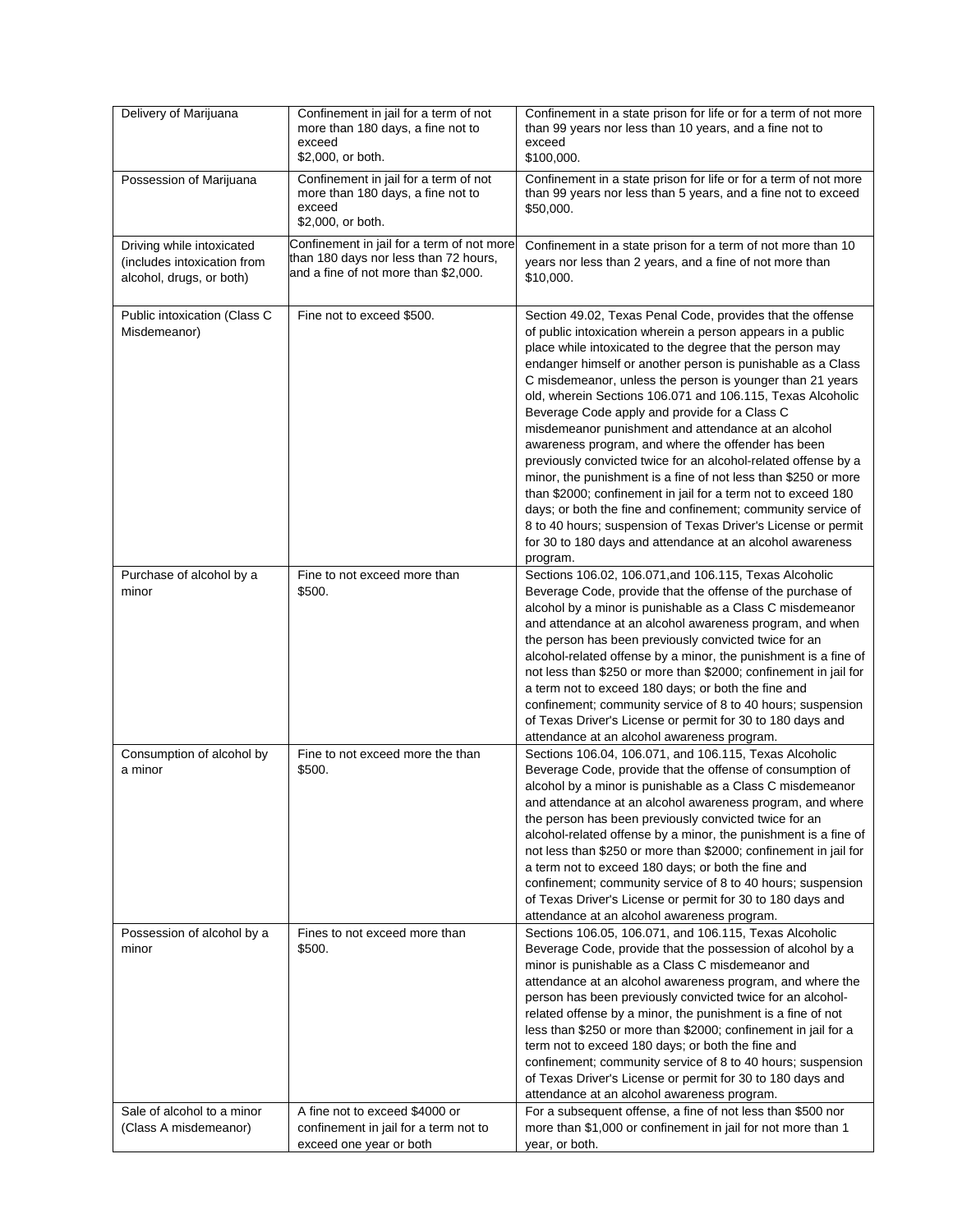| Delivery of Marijuana                                                                | Confinement in jail for a term of not<br>more than 180 days, a fine not to<br>exceed<br>\$2,000, or both.                   | Confinement in a state prison for life or for a term of not more<br>than 99 years nor less than 10 years, and a fine not to<br>exceed<br>\$100,000.                                                                                                                                                                                                                                                                                                                                                                                                                                                                                                                                                                                                                                                                                                                                                                                                           |
|--------------------------------------------------------------------------------------|-----------------------------------------------------------------------------------------------------------------------------|---------------------------------------------------------------------------------------------------------------------------------------------------------------------------------------------------------------------------------------------------------------------------------------------------------------------------------------------------------------------------------------------------------------------------------------------------------------------------------------------------------------------------------------------------------------------------------------------------------------------------------------------------------------------------------------------------------------------------------------------------------------------------------------------------------------------------------------------------------------------------------------------------------------------------------------------------------------|
| Possession of Marijuana                                                              | Confinement in jail for a term of not<br>more than 180 days, a fine not to<br>exceed<br>\$2,000, or both.                   | Confinement in a state prison for life or for a term of not more<br>than 99 years nor less than 5 years, and a fine not to exceed<br>\$50,000.                                                                                                                                                                                                                                                                                                                                                                                                                                                                                                                                                                                                                                                                                                                                                                                                                |
| Driving while intoxicated<br>(includes intoxication from<br>alcohol, drugs, or both) | Confinement in jail for a term of not more<br>than 180 days nor less than 72 hours,<br>and a fine of not more than \$2,000. | Confinement in a state prison for a term of not more than 10<br>years nor less than 2 years, and a fine of not more than<br>\$10,000.                                                                                                                                                                                                                                                                                                                                                                                                                                                                                                                                                                                                                                                                                                                                                                                                                         |
| Public intoxication (Class C<br>Misdemeanor)                                         | Fine not to exceed \$500.                                                                                                   | Section 49.02, Texas Penal Code, provides that the offense<br>of public intoxication wherein a person appears in a public<br>place while intoxicated to the degree that the person may<br>endanger himself or another person is punishable as a Class<br>C misdemeanor, unless the person is younger than 21 years<br>old, wherein Sections 106.071 and 106.115, Texas Alcoholic<br>Beverage Code apply and provide for a Class C<br>misdemeanor punishment and attendance at an alcohol<br>awareness program, and where the offender has been<br>previously convicted twice for an alcohol-related offense by a<br>minor, the punishment is a fine of not less than \$250 or more<br>than \$2000; confinement in jail for a term not to exceed 180<br>days; or both the fine and confinement; community service of<br>8 to 40 hours; suspension of Texas Driver's License or permit<br>for 30 to 180 days and attendance at an alcohol awareness<br>program. |
| Purchase of alcohol by a<br>minor                                                    | Fine to not exceed more than<br>\$500.                                                                                      | Sections 106.02, 106.071, and 106.115, Texas Alcoholic<br>Beverage Code, provide that the offense of the purchase of<br>alcohol by a minor is punishable as a Class C misdemeanor<br>and attendance at an alcohol awareness program, and when<br>the person has been previously convicted twice for an<br>alcohol-related offense by a minor, the punishment is a fine of<br>not less than \$250 or more than \$2000; confinement in jail for<br>a term not to exceed 180 days; or both the fine and<br>confinement; community service of 8 to 40 hours; suspension<br>of Texas Driver's License or permit for 30 to 180 days and<br>attendance at an alcohol awareness program.                                                                                                                                                                                                                                                                              |
| Consumption of alcohol by<br>a minor                                                 | Fine to not exceed more the than<br>\$500.                                                                                  | Sections 106.04, 106.071, and 106.115, Texas Alcoholic<br>Beverage Code, provide that the offense of consumption of<br>alcohol by a minor is punishable as a Class C misdemeanor<br>and attendance at an alcohol awareness program, and where<br>the person has been previously convicted twice for an<br>alcohol-related offense by a minor, the punishment is a fine of<br>not less than \$250 or more than \$2000; confinement in jail for<br>a term not to exceed 180 days; or both the fine and<br>confinement; community service of 8 to 40 hours; suspension<br>of Texas Driver's License or permit for 30 to 180 days and<br>attendance at an alcohol awareness program.                                                                                                                                                                                                                                                                              |
| Possession of alcohol by a<br>minor                                                  | Fines to not exceed more than<br>\$500.                                                                                     | Sections 106.05, 106.071, and 106.115, Texas Alcoholic<br>Beverage Code, provide that the possession of alcohol by a<br>minor is punishable as a Class C misdemeanor and<br>attendance at an alcohol awareness program, and where the<br>person has been previously convicted twice for an alcohol-<br>related offense by a minor, the punishment is a fine of not<br>less than \$250 or more than \$2000; confinement in jail for a<br>term not to exceed 180 days; or both the fine and<br>confinement; community service of 8 to 40 hours; suspension<br>of Texas Driver's License or permit for 30 to 180 days and<br>attendance at an alcohol awareness program.                                                                                                                                                                                                                                                                                         |
| Sale of alcohol to a minor<br>(Class A misdemeanor)                                  | A fine not to exceed \$4000 or<br>confinement in jail for a term not to<br>exceed one year or both                          | For a subsequent offense, a fine of not less than \$500 nor<br>more than \$1,000 or confinement in jail for not more than 1<br>year, or both.                                                                                                                                                                                                                                                                                                                                                                                                                                                                                                                                                                                                                                                                                                                                                                                                                 |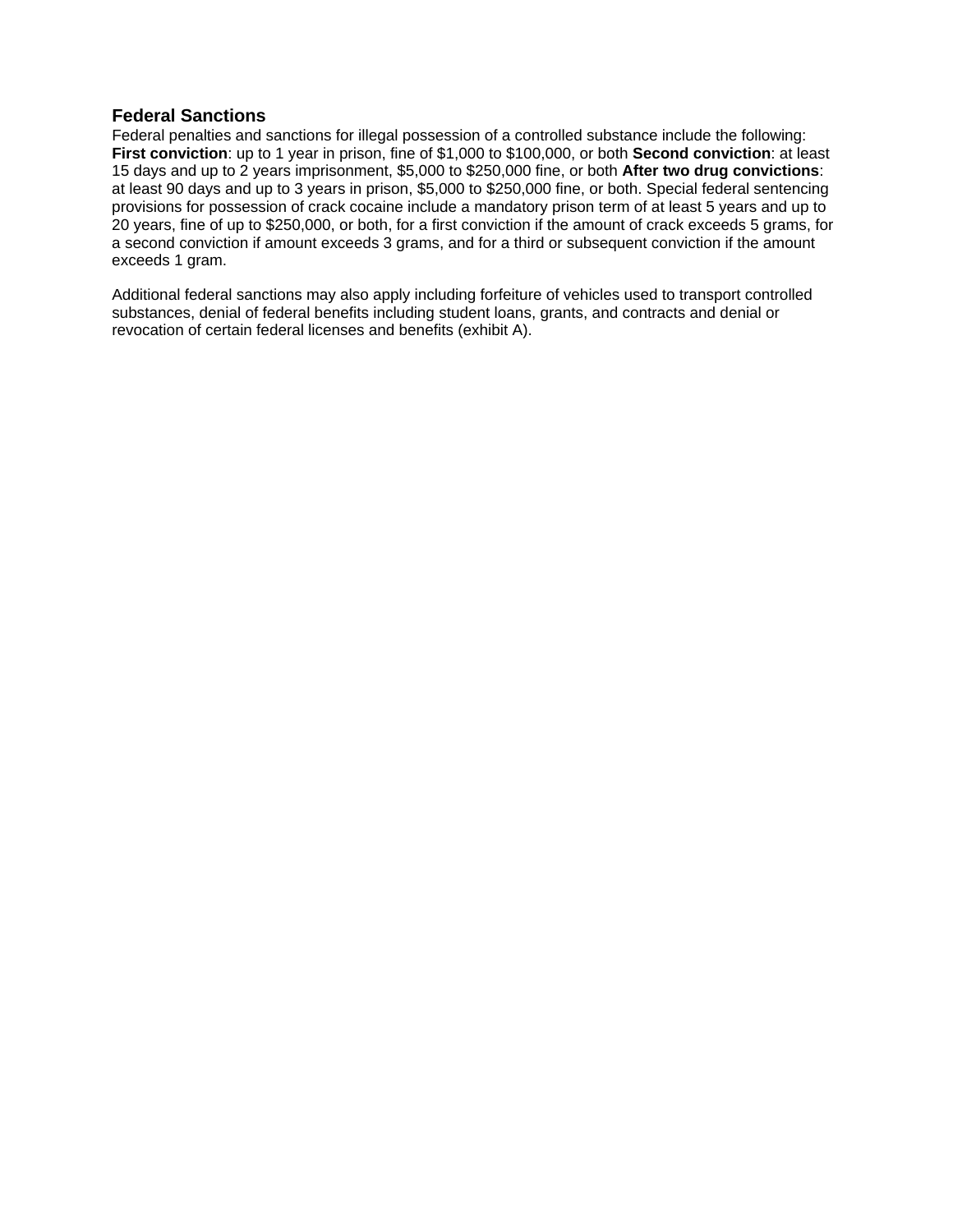#### **Federal Sanctions**

Federal penalties and sanctions for illegal possession of a controlled substance include the following: **First conviction**: up to 1 year in prison, fine of \$1,000 to \$100,000, or both **Second conviction**: at least 15 days and up to 2 years imprisonment, \$5,000 to \$250,000 fine, or both **After two drug convictions**: at least 90 days and up to 3 years in prison, \$5,000 to \$250,000 fine, or both. Special federal sentencing provisions for possession of crack cocaine include a mandatory prison term of at least 5 years and up to 20 years, fine of up to \$250,000, or both, for a first conviction if the amount of crack exceeds 5 grams, for a second conviction if amount exceeds 3 grams, and for a third or subsequent conviction if the amount exceeds 1 gram.

Additional federal sanctions may also apply including forfeiture of vehicles used to transport controlled substances, denial of federal benefits including student loans, grants, and contracts and denial or revocation of certain federal licenses and benefits (exhibit A).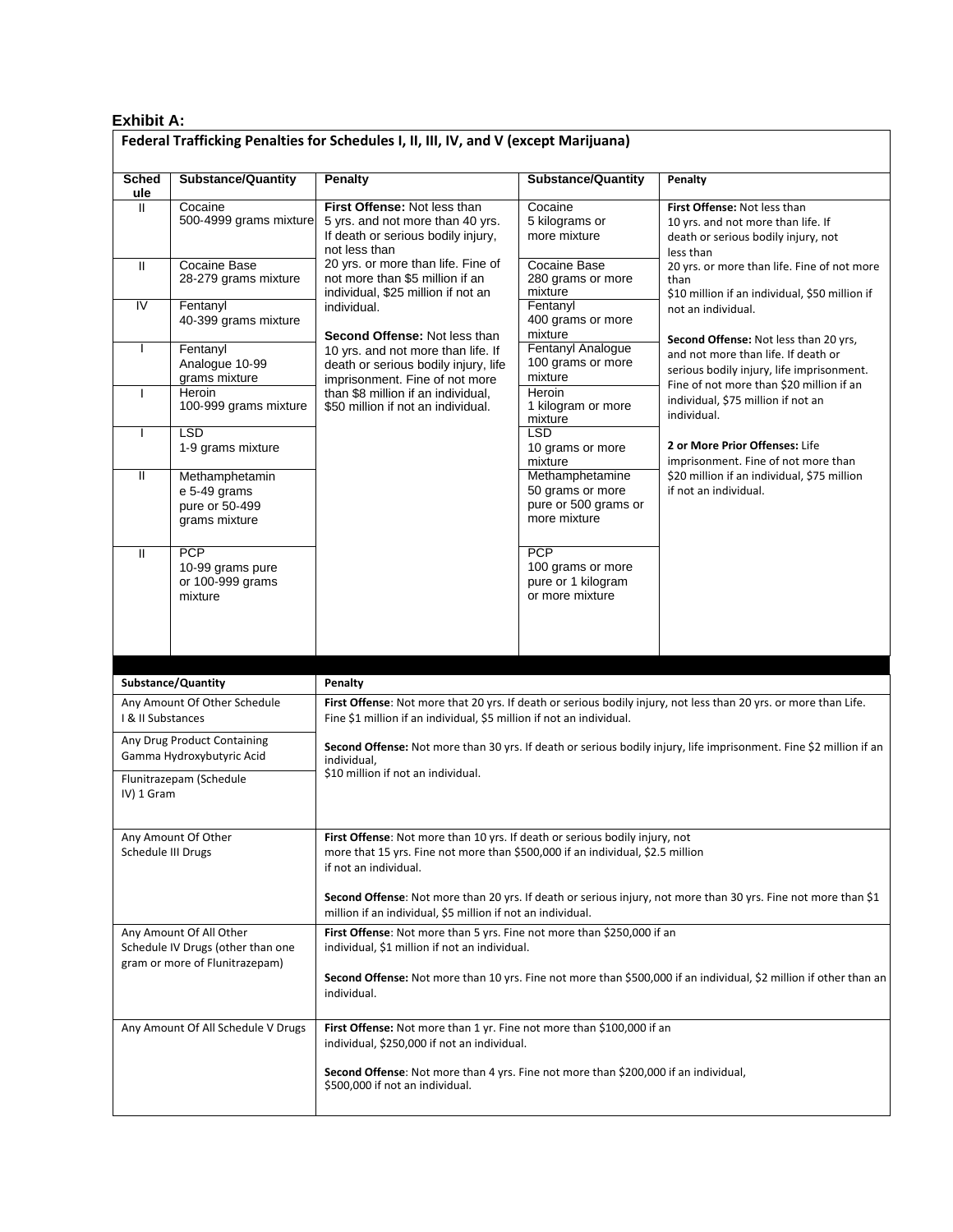#### **Exhibit A:**

| Sched                   | <b>Substance/Quantity</b>                                         | <b>Penalty</b>                                                                                                                                                                                | <b>Substance/Quantity</b>                                                   | Penalty                                                                                                                                                                                                                                                                                                                                                                     |
|-------------------------|-------------------------------------------------------------------|-----------------------------------------------------------------------------------------------------------------------------------------------------------------------------------------------|-----------------------------------------------------------------------------|-----------------------------------------------------------------------------------------------------------------------------------------------------------------------------------------------------------------------------------------------------------------------------------------------------------------------------------------------------------------------------|
| ule<br>$\mathbf{H}$     | Cocaine<br>500-4999 grams mixture                                 | First Offense: Not less than<br>5 yrs. and not more than 40 yrs.<br>If death or serious bodily injury,<br>not less than                                                                       | Cocaine<br>5 kilograms or<br>more mixture                                   | First Offense: Not less than<br>10 yrs. and not more than life. If<br>death or serious bodily injury, not<br>less than                                                                                                                                                                                                                                                      |
| Ш                       | Cocaine Base<br>28-279 grams mixture                              | 20 yrs. or more than life. Fine of<br>not more than \$5 million if an<br>individual, \$25 million if not an                                                                                   | <b>Cocaine Base</b><br>280 grams or more<br>mixture                         | 20 yrs. or more than life. Fine of not more<br>than<br>\$10 million if an individual, \$50 million if                                                                                                                                                                                                                                                                       |
| $\overline{\mathsf{N}}$ | Fentanyl<br>40-399 grams mixture                                  | individual.<br>Second Offense: Not less than                                                                                                                                                  | Fentanyl<br>400 grams or more<br>mixture                                    | not an individual.                                                                                                                                                                                                                                                                                                                                                          |
| $\overline{1}$          | Fentanyl<br>Analogue 10-99<br>grams mixture                       | 10 yrs. and not more than life. If<br>death or serious bodily injury, life<br>imprisonment. Fine of not more<br>than \$8 million if an individual,<br>\$50 million if not an individual.      | Fentanyl Analogue<br>100 grams or more<br>mixture                           | Second Offense: Not less than 20 yrs,<br>and not more than life. If death or<br>serious bodily injury, life imprisonment.<br>Fine of not more than \$20 million if an<br>individual, \$75 million if not an<br>individual.<br>2 or More Prior Offenses: Life<br>imprisonment. Fine of not more than<br>\$20 million if an individual, \$75 million<br>if not an individual. |
| ı                       | Heroin<br>100-999 grams mixture                                   |                                                                                                                                                                                               | Heroin<br>1 kilogram or more<br>mixture                                     |                                                                                                                                                                                                                                                                                                                                                                             |
| I                       | LSD<br>1-9 grams mixture                                          |                                                                                                                                                                                               | <b>LSD</b><br>10 grams or more<br>mixture                                   |                                                                                                                                                                                                                                                                                                                                                                             |
| Ħ                       | Methamphetamin<br>e 5-49 grams<br>pure or 50-499<br>grams mixture |                                                                                                                                                                                               | Methamphetamine<br>50 grams or more<br>pure or 500 grams or<br>more mixture |                                                                                                                                                                                                                                                                                                                                                                             |
| $\mathbf{H}$            | <b>PCP</b><br>10-99 grams pure<br>or 100-999 grams<br>mixture     |                                                                                                                                                                                               | <b>PCP</b><br>100 grams or more<br>pure or 1 kilogram<br>or more mixture    |                                                                                                                                                                                                                                                                                                                                                                             |
|                         |                                                                   |                                                                                                                                                                                               |                                                                             |                                                                                                                                                                                                                                                                                                                                                                             |
|                         |                                                                   |                                                                                                                                                                                               |                                                                             |                                                                                                                                                                                                                                                                                                                                                                             |
|                         |                                                                   | Penalty                                                                                                                                                                                       |                                                                             |                                                                                                                                                                                                                                                                                                                                                                             |
| I & II Substances       | Substance/Quantity<br>Any Amount Of Other Schedule                | Fine \$1 million if an individual, \$5 million if not an individual.                                                                                                                          |                                                                             | First Offense: Not more that 20 yrs. If death or serious bodily injury, not less than 20 yrs. or more than Life.                                                                                                                                                                                                                                                            |
|                         | Any Drug Product Containing<br>Gamma Hydroxybutyric Acid          | individual,                                                                                                                                                                                   |                                                                             | Second Offense: Not more than 30 yrs. If death or serious bodily injury, life imprisonment. Fine \$2 million if an                                                                                                                                                                                                                                                          |
| IV) 1 Gram              | Flunitrazepam (Schedule                                           | \$10 million if not an individual.                                                                                                                                                            |                                                                             |                                                                                                                                                                                                                                                                                                                                                                             |
| Schedule III Drugs      | Any Amount Of Other                                               | <b>First Offense:</b> Not more than 10 yrs. If death or serious bodily injury, not<br>more that 15 yrs. Fine not more than \$500,000 if an individual, \$2.5 million<br>if not an individual. |                                                                             |                                                                                                                                                                                                                                                                                                                                                                             |
|                         |                                                                   | million if an individual, \$5 million if not an individual.                                                                                                                                   |                                                                             | Second Offense: Not more than 20 yrs. If death or serious injury, not more than 30 yrs. Fine not more than \$1                                                                                                                                                                                                                                                              |
|                         | Any Amount Of All Other<br>Schedule IV Drugs (other than one      | First Offense: Not more than 5 yrs. Fine not more than \$250,000 if an<br>individual, \$1 million if not an individual.                                                                       |                                                                             |                                                                                                                                                                                                                                                                                                                                                                             |
|                         | gram or more of Flunitrazepam)                                    | individual.                                                                                                                                                                                   |                                                                             | Second Offense: Not more than 10 yrs. Fine not more than \$500,000 if an individual, \$2 million if other than an                                                                                                                                                                                                                                                           |
|                         | Any Amount Of All Schedule V Drugs                                | First Offense: Not more than 1 yr. Fine not more than \$100,000 if an<br>individual, \$250,000 if not an individual.                                                                          |                                                                             |                                                                                                                                                                                                                                                                                                                                                                             |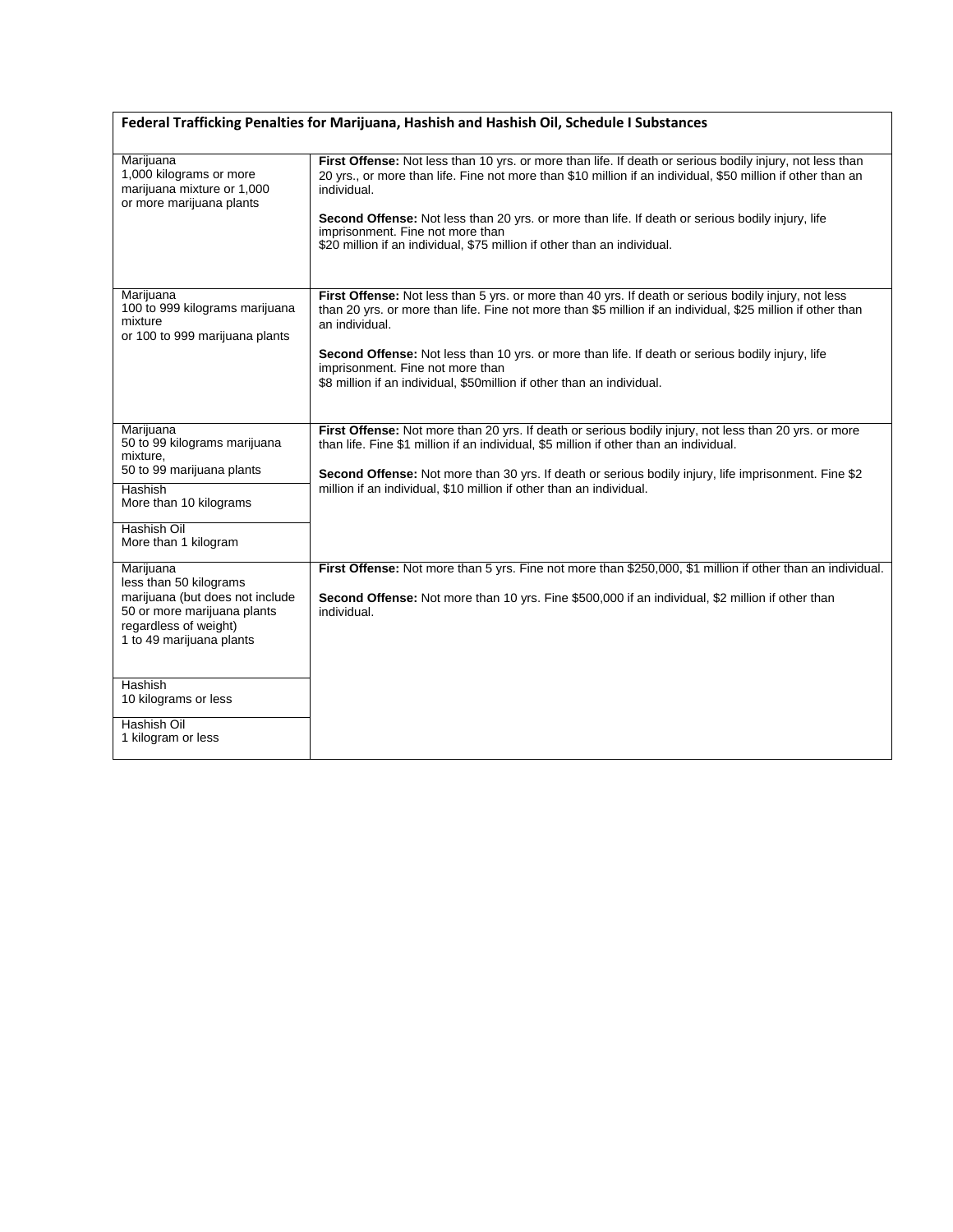| Federal Trafficking Penalties for Marijuana, Hashish and Hashish Oil, Schedule I Substances                                                                                        |                                                                                                                                                                                                                                                                                                                                                                                                                                                            |  |  |
|------------------------------------------------------------------------------------------------------------------------------------------------------------------------------------|------------------------------------------------------------------------------------------------------------------------------------------------------------------------------------------------------------------------------------------------------------------------------------------------------------------------------------------------------------------------------------------------------------------------------------------------------------|--|--|
| Marijuana<br>1,000 kilograms or more<br>marijuana mixture or 1,000<br>or more marijuana plants                                                                                     | First Offense: Not less than 10 yrs. or more than life. If death or serious bodily injury, not less than<br>20 yrs., or more than life. Fine not more than \$10 million if an individual, \$50 million if other than an<br>individual.<br>Second Offense: Not less than 20 yrs. or more than life. If death or serious bodily injury, life<br>imprisonment. Fine not more than<br>\$20 million if an individual, \$75 million if other than an individual. |  |  |
| Marijuana<br>100 to 999 kilograms marijuana<br>mixture<br>or 100 to 999 marijuana plants                                                                                           | First Offense: Not less than 5 yrs. or more than 40 yrs. If death or serious bodily injury, not less<br>than 20 yrs. or more than life. Fine not more than \$5 million if an individual, \$25 million if other than<br>an individual.<br>Second Offense: Not less than 10 yrs. or more than life. If death or serious bodily injury, life<br>imprisonment. Fine not more than<br>\$8 million if an individual, \$50million if other than an individual.    |  |  |
| Marijuana<br>50 to 99 kilograms marijuana<br>mixture,<br>50 to 99 marijuana plants<br>Hashish<br>More than 10 kilograms<br>Hashish Oil                                             | First Offense: Not more than 20 yrs. If death or serious bodily injury, not less than 20 yrs. or more<br>than life. Fine \$1 million if an individual, \$5 million if other than an individual.<br>Second Offense: Not more than 30 yrs. If death or serious bodily injury, life imprisonment. Fine \$2<br>million if an individual, \$10 million if other than an individual.                                                                             |  |  |
| More than 1 kilogram<br>Marijuana<br>less than 50 kilograms<br>marijuana (but does not include<br>50 or more marijuana plants<br>regardless of weight)<br>1 to 49 marijuana plants | First Offense: Not more than 5 yrs. Fine not more than \$250,000, \$1 million if other than an individual.<br>Second Offense: Not more than 10 yrs. Fine \$500,000 if an individual, \$2 million if other than<br>individual.                                                                                                                                                                                                                              |  |  |
| <b>Hashish</b><br>10 kilograms or less<br>Hashish Oil<br>1 kilogram or less                                                                                                        |                                                                                                                                                                                                                                                                                                                                                                                                                                                            |  |  |